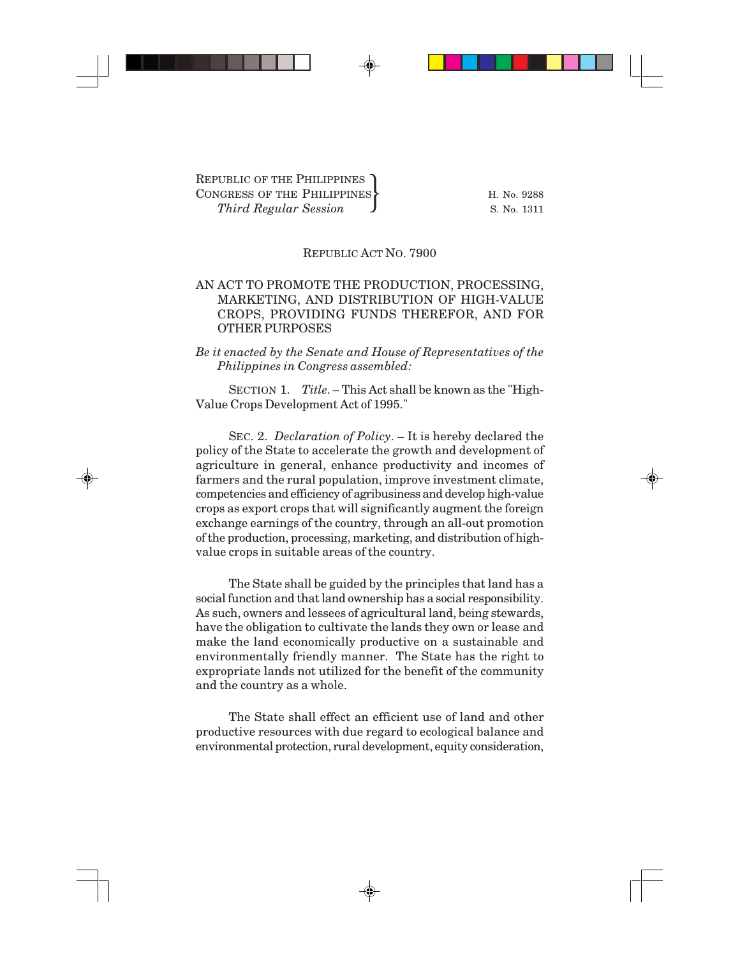## REPUBLIC ACT NO. 7900

## AN ACT TO PROMOTE THE PRODUCTION, PROCESSING, MARKETING, AND DISTRIBUTION OF HIGH-VALUE CROPS, PROVIDING FUNDS THEREFOR, AND FOR OTHER PURPOSES

*Be it enacted by the Senate and House of Representatives of the Philippines in Congress assembled:*

SECTION 1. *Title*. – This Act shall be known as the "High-Value Crops Development Act of 1995."

SEC. 2. *Declaration of Policy*. – It is hereby declared the policy of the State to accelerate the growth and development of agriculture in general, enhance productivity and incomes of farmers and the rural population, improve investment climate, competencies and efficiency of agribusiness and develop high-value crops as export crops that will significantly augment the foreign exchange earnings of the country, through an all-out promotion of the production, processing, marketing, and distribution of highvalue crops in suitable areas of the country.

The State shall be guided by the principles that land has a social function and that land ownership has a social responsibility. As such, owners and lessees of agricultural land, being stewards, have the obligation to cultivate the lands they own or lease and make the land economically productive on a sustainable and environmentally friendly manner. The State has the right to expropriate lands not utilized for the benefit of the community and the country as a whole.

The State shall effect an efficient use of land and other productive resources with due regard to ecological balance and environmental protection, rural development, equity consideration,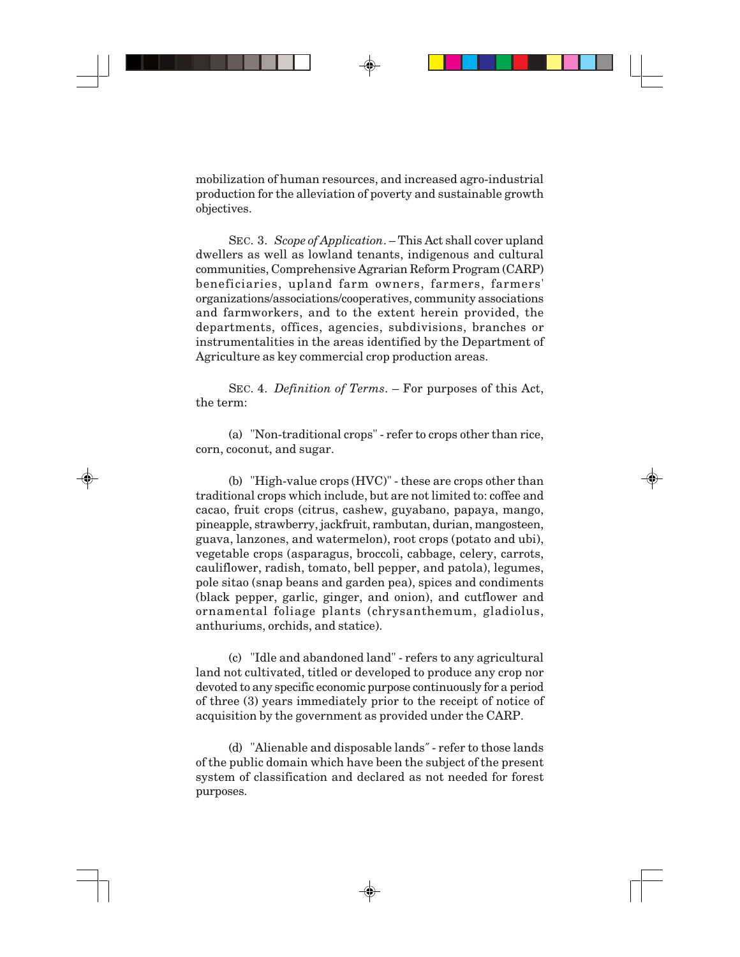mobilization of human resources, and increased agro-industrial production for the alleviation of poverty and sustainable growth objectives.

SEC. 3. *Scope of Application*. – This Act shall cover upland dwellers as well as lowland tenants, indigenous and cultural communities, Comprehensive Agrarian Reform Program (CARP) beneficiaries, upland farm owners, farmers, farmers' organizations/associations/cooperatives, community associations and farmworkers, and to the extent herein provided, the departments, offices, agencies, subdivisions, branches or instrumentalities in the areas identified by the Department of Agriculture as key commercial crop production areas.

SEC. 4. *Definition of Terms*. – For purposes of this Act, the term:

(a) "Non-traditional crops" - refer to crops other than rice, corn, coconut, and sugar.

(b) "High-value crops (HVC)" - these are crops other than traditional crops which include, but are not limited to: coffee and cacao, fruit crops (citrus, cashew, guyabano, papaya, mango, pineapple, strawberry, jackfruit, rambutan, durian, mangosteen, guava, lanzones, and watermelon), root crops (potato and ubi), vegetable crops (asparagus, broccoli, cabbage, celery, carrots, cauliflower, radish, tomato, bell pepper, and patola), legumes, pole sitao (snap beans and garden pea), spices and condiments (black pepper, garlic, ginger, and onion), and cutflower and ornamental foliage plants (chrysanthemum, gladiolus, anthuriums, orchids, and statice).

(c) "Idle and abandoned land" - refers to any agricultural land not cultivated, titled or developed to produce any crop nor devoted to any specific economic purpose continuously for a period of three (3) years immediately prior to the receipt of notice of acquisition by the government as provided under the CARP.

(d) "Alienable and disposable lands*"* - refer to those lands of the public domain which have been the subject of the present system of classification and declared as not needed for forest purposes.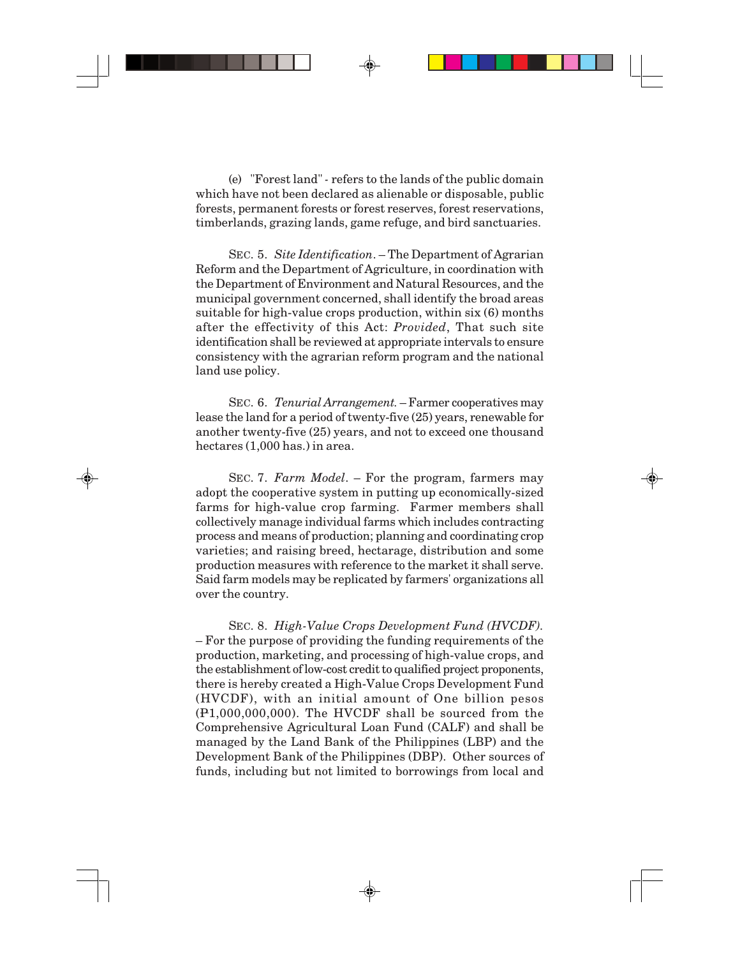(e) "Forest land" *-* refers to the lands of the public domain which have not been declared as alienable or disposable, public forests, permanent forests or forest reserves, forest reservations, timberlands, grazing lands, game refuge, and bird sanctuaries.

SEC. 5. *Site Identification*. – The Department of Agrarian Reform and the Department of Agriculture, in coordination with the Department of Environment and Natural Resources, and the municipal government concerned, shall identify the broad areas suitable for high-value crops production, within six (6) months after the effectivity of this Act: *Provided*, That such site identification shall be reviewed at appropriate intervals to ensure consistency with the agrarian reform program and the national land use policy.

SEC. 6. *Tenurial Arrangement.* – Farmer cooperatives may lease the land for a period of twenty-five (25) years, renewable for another twenty-five (25) years, and not to exceed one thousand hectares (1,000 has.) in area.

SEC. 7. *Farm Model*. – For the program, farmers may adopt the cooperative system in putting up economically-sized farms for high-value crop farming. Farmer members shall collectively manage individual farms which includes contracting process and means of production; planning and coordinating crop varieties; and raising breed, hectarage, distribution and some production measures with reference to the market it shall serve. Said farm models may be replicated by farmers' organizations all over the country.

SEC. 8. *High-Value Crops Development Fund (HVCDF).* – For the purpose of providing the funding requirements of the production, marketing, and processing of high-value crops, and the establishment of low-cost credit to qualified project proponents, there is hereby created a High-Value Crops Development Fund (HVCDF), with an initial amount of One billion pesos (P1,000,000,000). The HVCDF shall be sourced from the Comprehensive Agricultural Loan Fund (CALF) and shall be managed by the Land Bank of the Philippines (LBP) and the Development Bank of the Philippines (DBP). Other sources of funds, including but not limited to borrowings from local and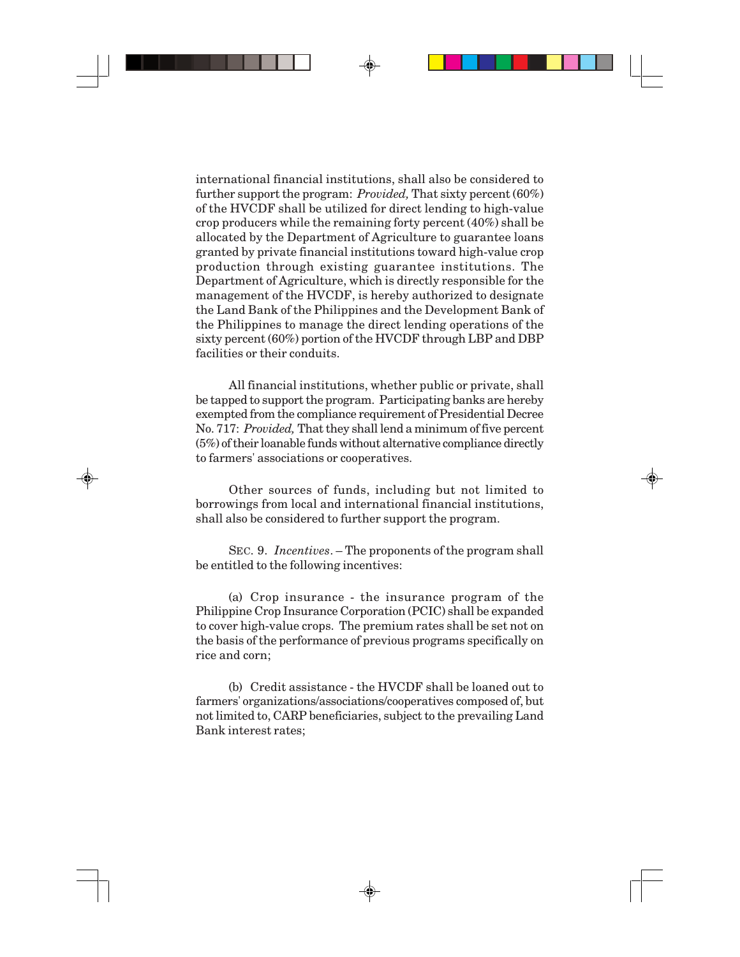international financial institutions, shall also be considered to further support the program: *Provided,* That sixty percent (60%) of the HVCDF shall be utilized for direct lending to high-value crop producers while the remaining forty percent (40%) shall be allocated by the Department of Agriculture to guarantee loans granted by private financial institutions toward high-value crop production through existing guarantee institutions. The Department of Agriculture, which is directly responsible for the management of the HVCDF, is hereby authorized to designate the Land Bank of the Philippines and the Development Bank of the Philippines to manage the direct lending operations of the sixty percent (60%) portion of the HVCDF through LBP and DBP facilities or their conduits.

All financial institutions, whether public or private, shall be tapped to support the program. Participating banks are hereby exempted from the compliance requirement of Presidential Decree No. 717: *Provided,* That they shall lend a minimum of five percent (5%) of their loanable funds without alternative compliance directly to farmers' associations or cooperatives.

Other sources of funds, including but not limited to borrowings from local and international financial institutions, shall also be considered to further support the program.

SEC. 9. *Incentives*. – The proponents of the program shall be entitled to the following incentives:

(a) Crop insurance - the insurance program of the Philippine Crop Insurance Corporation (PCIC) shall be expanded to cover high-value crops. The premium rates shall be set not on the basis of the performance of previous programs specifically on rice and corn;

(b) Credit assistance - the HVCDF shall be loaned out to farmers' organizations/associations/cooperatives composed of, but not limited to, CARP beneficiaries, subject to the prevailing Land Bank interest rates;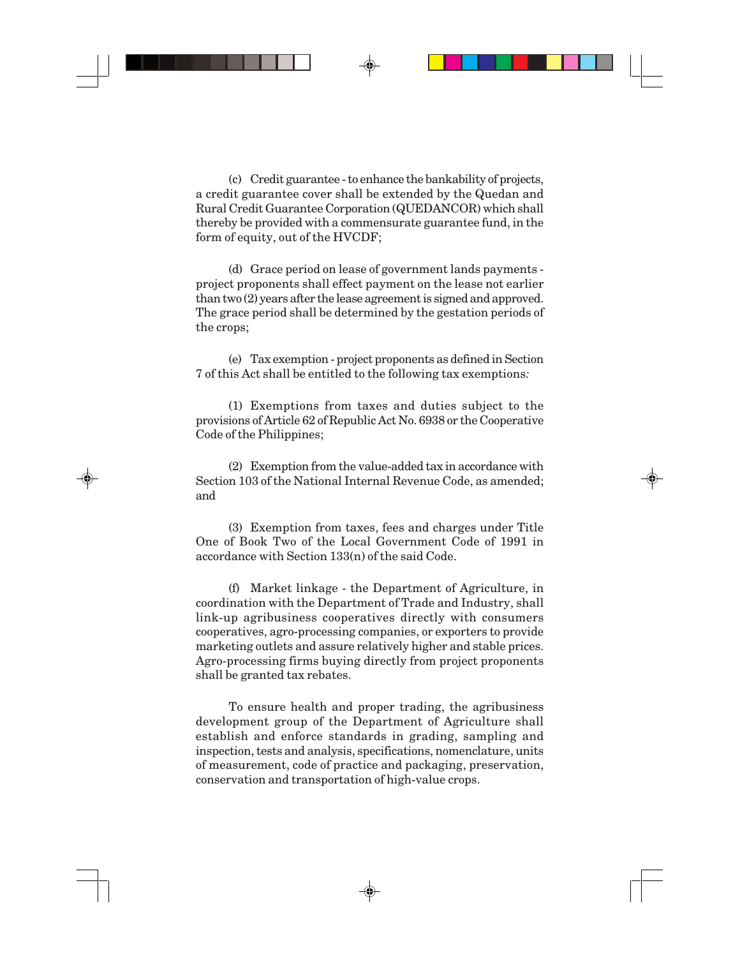(c) Credit guarantee - to enhance the bankability of projects, a credit guarantee cover shall be extended by the Quedan and Rural Credit Guarantee Corporation (QUEDANCOR) which shall thereby be provided with a commensurate guarantee fund, in the form of equity, out of the HVCDF;

(d) Grace period on lease of government lands payments project proponents shall effect payment on the lease not earlier than two (2) years after the lease agreement is signed and approved. The grace period shall be determined by the gestation periods of the crops;

(e) Tax exemption - project proponents as defined in Section 7 of this Act shall be entitled to the following tax exemptions*:*

(1) Exemptions from taxes and duties subject to the provisions of Article 62 of Republic Act No. 6938 or the Cooperative Code of the Philippines;

(2) Exemption from the value-added tax in accordance with Section 103 of the National Internal Revenue Code, as amended; and

(3) Exemption from taxes, fees and charges under Title One of Book Two of the Local Government Code of 1991 in accordance with Section 133(n) of the said Code.

(f) Market linkage - the Department of Agriculture, in coordination with the Department of Trade and Industry, shall link-up agribusiness cooperatives directly with consumers cooperatives, agro-processing companies, or exporters to provide marketing outlets and assure relatively higher and stable prices. Agro-processing firms buying directly from project proponents shall be granted tax rebates.

To ensure health and proper trading, the agribusiness development group of the Department of Agriculture shall establish and enforce standards in grading, sampling and inspection, tests and analysis, specifications, nomenclature, units of measurement, code of practice and packaging, preservation, conservation and transportation of high-value crops.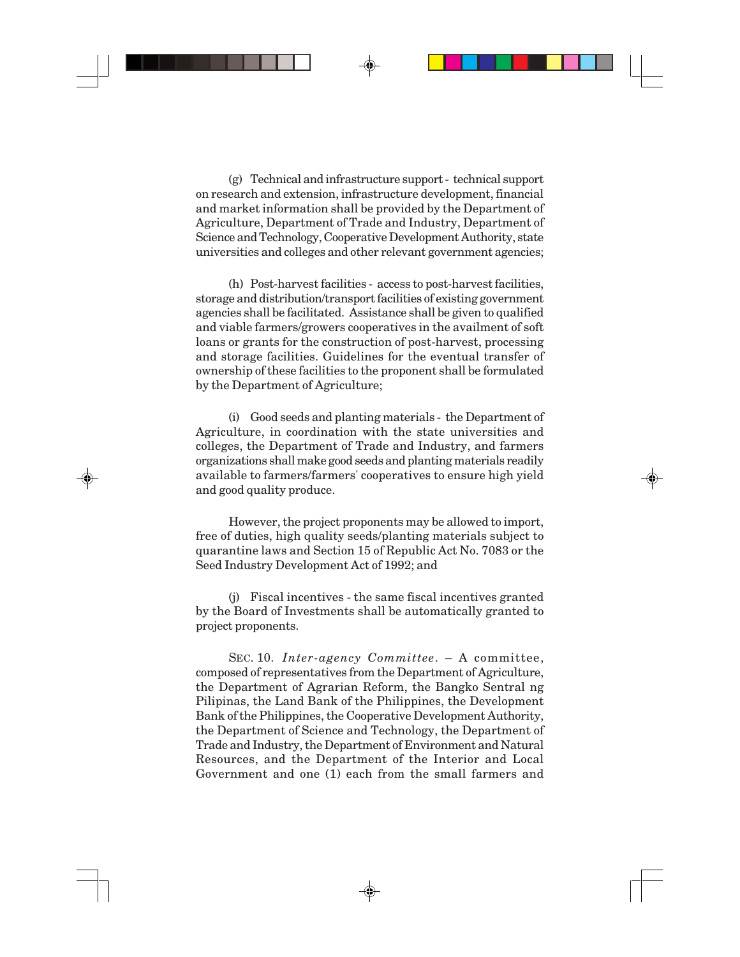(g) Technical and infrastructure support - technical support on research and extension, infrastructure development, financial and market information shall be provided by the Department of Agriculture, Department of Trade and Industry, Department of Science and Technology, Cooperative Development Authority, state universities and colleges and other relevant government agencies;

(h) Post-harvest facilities - access to post-harvest facilities, storage and distribution/transport facilities of existing government agencies shall be facilitated. Assistance shall be given to qualified and viable farmers/growers cooperatives in the availment of soft loans or grants for the construction of post-harvest, processing and storage facilities. Guidelines for the eventual transfer of ownership of these facilities to the proponent shall be formulated by the Department of Agriculture;

(i) Good seeds and planting materials - the Department of Agriculture, in coordination with the state universities and colleges, the Department of Trade and Industry, and farmers organizations shall make good seeds and planting materials readily available to farmers/farmers' cooperatives to ensure high yield and good quality produce.

However, the project proponents may be allowed to import, free of duties, high quality seeds/planting materials subject to quarantine laws and Section 15 of Republic Act No. 7083 or the Seed Industry Development Act of 1992; and

(j) Fiscal incentives - the same fiscal incentives granted by the Board of Investments shall be automatically granted to project proponents.

SEC. 10. *Inter-agency Committee*. – A committee, composed of representatives from the Department of Agriculture, the Department of Agrarian Reform, the Bangko Sentral ng Pilipinas, the Land Bank of the Philippines, the Development Bank of the Philippines, the Cooperative Development Authority, the Department of Science and Technology, the Department of Trade and Industry, the Department of Environment and Natural Resources, and the Department of the Interior and Local Government and one (1) each from the small farmers and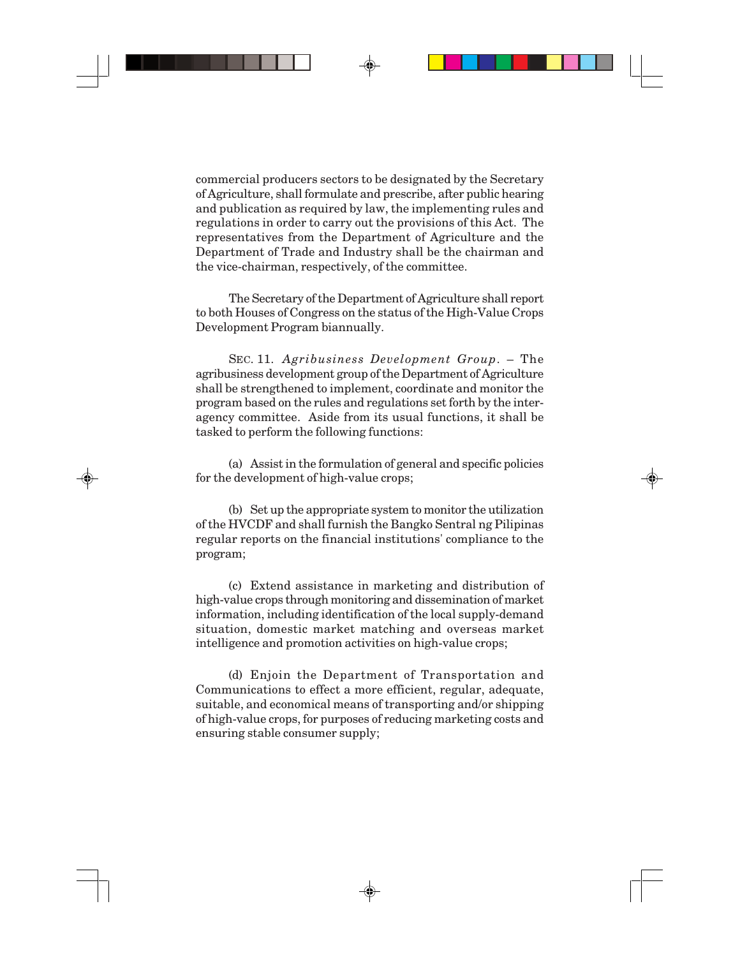commercial producers sectors to be designated by the Secretary of Agriculture, shall formulate and prescribe, after public hearing and publication as required by law, the implementing rules and regulations in order to carry out the provisions of this Act. The representatives from the Department of Agriculture and the Department of Trade and Industry shall be the chairman and the vice-chairman, respectively, of the committee.

The Secretary of the Department of Agriculture shall report to both Houses of Congress on the status of the High-Value Crops Development Program biannually.

SEC. 11. *Agribusiness Development Group*. – The agribusiness development group of the Department of Agriculture shall be strengthened to implement, coordinate and monitor the program based on the rules and regulations set forth by the interagency committee. Aside from its usual functions, it shall be tasked to perform the following functions:

(a) Assist in the formulation of general and specific policies for the development of high-value crops;

(b) Set up the appropriate system to monitor the utilization of the HVCDF and shall furnish the Bangko Sentral ng Pilipinas regular reports on the financial institutions' compliance to the program;

(c) Extend assistance in marketing and distribution of high-value crops through monitoring and dissemination of market information, including identification of the local supply-demand situation, domestic market matching and overseas market intelligence and promotion activities on high-value crops;

(d) Enjoin the Department of Transportation and Communications to effect a more efficient, regular, adequate, suitable, and economical means of transporting and/or shipping of high-value crops, for purposes of reducing marketing costs and ensuring stable consumer supply;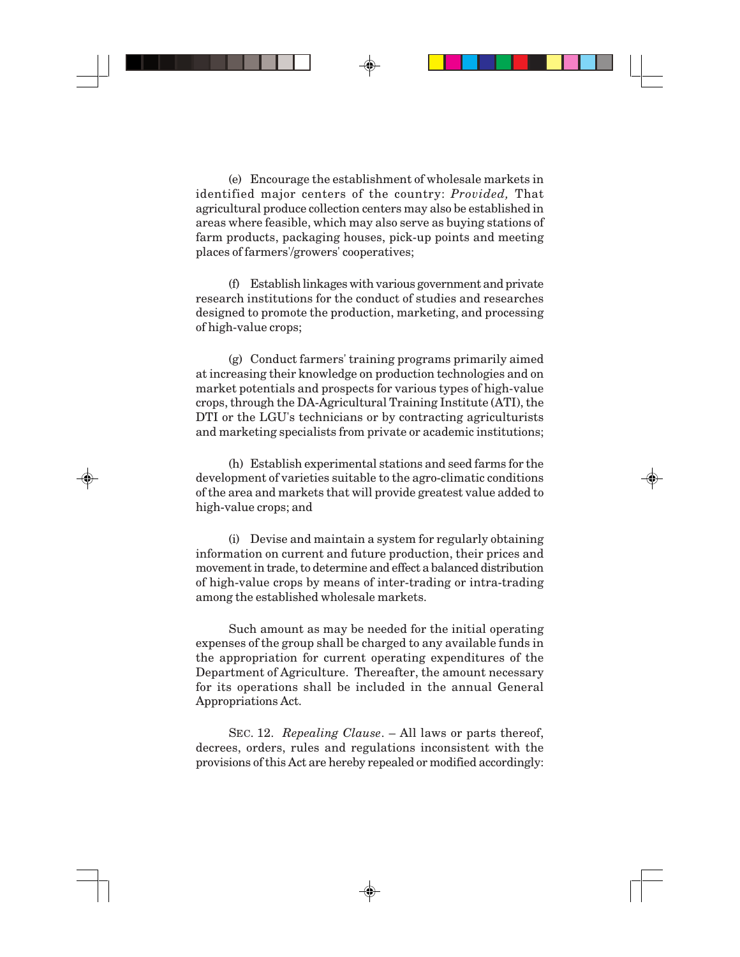(e) Encourage the establishment of wholesale markets in identified major centers of the country: *Provided,* That agricultural produce collection centers may also be established in areas where feasible, which may also serve as buying stations of farm products, packaging houses, pick-up points and meeting places of farmers'/growers' cooperatives;

(f) Establish linkages with various government and private research institutions for the conduct of studies and researches designed to promote the production, marketing, and processing of high-value crops;

(g) Conduct farmers' training programs primarily aimed at increasing their knowledge on production technologies and on market potentials and prospects for various types of high-value crops, through the DA-Agricultural Training Institute (ATI), the DTI or the LGU's technicians or by contracting agriculturists and marketing specialists from private or academic institutions;

(h) Establish experimental stations and seed farms for the development of varieties suitable to the agro-climatic conditions of the area and markets that will provide greatest value added to high-value crops; and

(i) Devise and maintain a system for regularly obtaining information on current and future production, their prices and movement in trade, to determine and effect a balanced distribution of high-value crops by means of inter-trading or intra-trading among the established wholesale markets.

Such amount as may be needed for the initial operating expenses of the group shall be charged to any available funds in the appropriation for current operating expenditures of the Department of Agriculture. Thereafter, the amount necessary for its operations shall be included in the annual General Appropriations Act.

SEC. 12. *Repealing Clause*. – All laws or parts thereof, decrees, orders, rules and regulations inconsistent with the provisions of this Act are hereby repealed or modified accordingly: